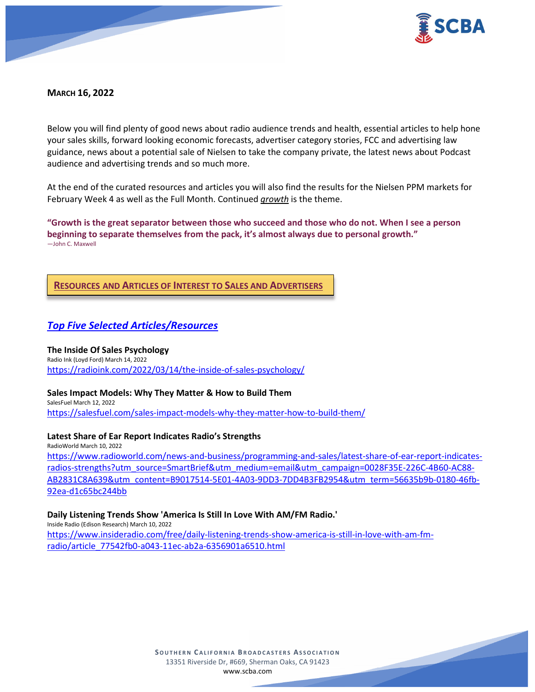

## **MARCH 16, 2022**

Below you will find plenty of good news about radio audience trends and health, essential articles to help hone your sales skills, forward looking economic forecasts, advertiser category stories, FCC and advertising law guidance, news about a potential sale of Nielsen to take the company private, the latest news about Podcast audience and advertising trends and so much more.

At the end of the curated resources and articles you will also find the results for the Nielsen PPM markets for February Week 4 as well as the Full Month. Continued *growth* is the theme.

**"Growth is the great separator between those who succeed and those who do not. When I see a person beginning to separate themselves from the pack, it's almost always due to personal growth."** ―John C. Maxwell

## **RESOURCES AND ARTICLES OF INTEREST TO SALES AND ADVERTISERS**

# *Top Five Selected Articles/Resources*

# **The Inside Of Sales Psychology** Radio Ink (Loyd Ford) March 14, 2022

<https://radioink.com/2022/03/14/the-inside-of-sales-psychology/>

## **Sales Impact Models: Why They Matter & How to Build Them**

SalesFuel March 12, 2022 <https://salesfuel.com/sales-impact-models-why-they-matter-how-to-build-them/>

#### **Latest Share of Ear Report Indicates Radio's Strengths**

RadioWorld March 10, 2022 [https://www.radioworld.com/news-and-business/programming-and-sales/latest-share-of-ear-report-indicates](https://www.radioworld.com/news-and-business/programming-and-sales/latest-share-of-ear-report-indicates-radios-strengths?utm_source=SmartBrief&utm_medium=email&utm_campaign=0028F35E-226C-4B60-AC88-AB2831C8A639&utm_content=B9017514-5E01-4A03-9DD3-7DD4B3FB2954&utm_term=56635b9b-0180-46fb-92ea-d1c65bc244bb)[radios-strengths?utm\\_source=SmartBrief&utm\\_medium=email&utm\\_campaign=0028F35E-226C-4B60-AC88-](https://www.radioworld.com/news-and-business/programming-and-sales/latest-share-of-ear-report-indicates-radios-strengths?utm_source=SmartBrief&utm_medium=email&utm_campaign=0028F35E-226C-4B60-AC88-AB2831C8A639&utm_content=B9017514-5E01-4A03-9DD3-7DD4B3FB2954&utm_term=56635b9b-0180-46fb-92ea-d1c65bc244bb) [AB2831C8A639&utm\\_content=B9017514-5E01-4A03-9DD3-7DD4B3FB2954&utm\\_term=56635b9b-0180-46fb-](https://www.radioworld.com/news-and-business/programming-and-sales/latest-share-of-ear-report-indicates-radios-strengths?utm_source=SmartBrief&utm_medium=email&utm_campaign=0028F35E-226C-4B60-AC88-AB2831C8A639&utm_content=B9017514-5E01-4A03-9DD3-7DD4B3FB2954&utm_term=56635b9b-0180-46fb-92ea-d1c65bc244bb)[92ea-d1c65bc244bb](https://www.radioworld.com/news-and-business/programming-and-sales/latest-share-of-ear-report-indicates-radios-strengths?utm_source=SmartBrief&utm_medium=email&utm_campaign=0028F35E-226C-4B60-AC88-AB2831C8A639&utm_content=B9017514-5E01-4A03-9DD3-7DD4B3FB2954&utm_term=56635b9b-0180-46fb-92ea-d1c65bc244bb)

#### **Daily Listening Trends Show 'America Is Still In Love With AM/FM Radio.'**

Inside Radio (Edison Research) March 10, 2022

[https://www.insideradio.com/free/daily-listening-trends-show-america-is-still-in-love-with-am-fm](https://www.insideradio.com/free/daily-listening-trends-show-america-is-still-in-love-with-am-fm-radio/article_77542fb0-a043-11ec-ab2a-6356901a6510.html)[radio/article\\_77542fb0-a043-11ec-ab2a-6356901a6510.html](https://www.insideradio.com/free/daily-listening-trends-show-america-is-still-in-love-with-am-fm-radio/article_77542fb0-a043-11ec-ab2a-6356901a6510.html)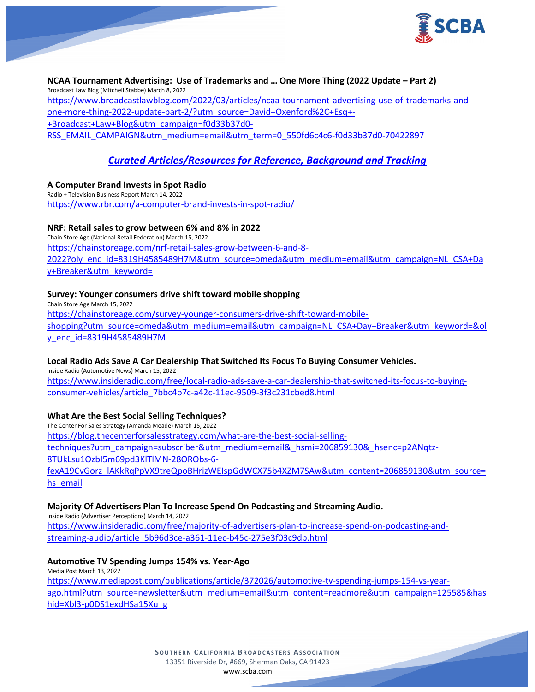

**NCAA Tournament Advertising: Use of Trademarks and … One More Thing (2022 Update – Part 2)** Broadcast Law Blog (Mitchell Stabbe) March 8, 2022 [https://www.broadcastlawblog.com/2022/03/articles/ncaa-tournament-advertising-use-of-trademarks-and-](https://www.broadcastlawblog.com/2022/03/articles/ncaa-tournament-advertising-use-of-trademarks-and-one-more-thing-2022-update-part-2/?utm_source=David+Oxenford%2C+Esq+-+Broadcast+Law+Blog&utm_campaign=f0d33b37d0-RSS_EMAIL_CAMPAIGN&utm_medium=email&utm_term=0_550fd6c4c6-f0d33b37d0-70422897)one-more-thing-2022-update-part-[2/?utm\\_source=David+Oxenford%2C+Esq+](https://www.broadcastlawblog.com/2022/03/articles/ncaa-tournament-advertising-use-of-trademarks-and-one-more-thing-2022-update-part-2/?utm_source=David+Oxenford%2C+Esq+-+Broadcast+Law+Blog&utm_campaign=f0d33b37d0-RSS_EMAIL_CAMPAIGN&utm_medium=email&utm_term=0_550fd6c4c6-f0d33b37d0-70422897)-[+Broadcast+Law+Blog&utm\\_campaign=f0d33b37d0-](https://www.broadcastlawblog.com/2022/03/articles/ncaa-tournament-advertising-use-of-trademarks-and-one-more-thing-2022-update-part-2/?utm_source=David+Oxenford%2C+Esq+-+Broadcast+Law+Blog&utm_campaign=f0d33b37d0-RSS_EMAIL_CAMPAIGN&utm_medium=email&utm_term=0_550fd6c4c6-f0d33b37d0-70422897) [RSS\\_EMAIL\\_CAMPAIGN&utm\\_medium=email&utm\\_term=0\\_550fd6c4c6-f0d33b37d0-70422897](https://www.broadcastlawblog.com/2022/03/articles/ncaa-tournament-advertising-use-of-trademarks-and-one-more-thing-2022-update-part-2/?utm_source=David+Oxenford%2C+Esq+-+Broadcast+Law+Blog&utm_campaign=f0d33b37d0-RSS_EMAIL_CAMPAIGN&utm_medium=email&utm_term=0_550fd6c4c6-f0d33b37d0-70422897)

# *Curated Articles/Resources for Reference, Background and Tracking*

## **A Computer Brand Invests in Spot Radio**

Radio + Television Business Report March 14, 2022 <https://www.rbr.com/a-computer-brand-invests-in-spot-radio/>

#### **NRF: Retail sales to grow between 6% and 8% in 2022**

Chain Store Age (National Retail Federation) March 15, 2022 [https://chainstoreage.com/nrf-retail-sales-grow-between-6-and-8-](https://chainstoreage.com/nrf-retail-sales-grow-between-6-and-8-2022?oly_enc_id=8319H4585489H7M&utm_source=omeda&utm_medium=email&utm_campaign=NL_CSA+Day+Breaker&utm_keyword=) [2022?oly\\_enc\\_id=8319H4585489H7M&utm\\_source=omeda&utm\\_medium=email&utm\\_campaign=NL\\_CSA+Da](https://chainstoreage.com/nrf-retail-sales-grow-between-6-and-8-2022?oly_enc_id=8319H4585489H7M&utm_source=omeda&utm_medium=email&utm_campaign=NL_CSA+Day+Breaker&utm_keyword=) [y+Breaker&utm\\_keyword=](https://chainstoreage.com/nrf-retail-sales-grow-between-6-and-8-2022?oly_enc_id=8319H4585489H7M&utm_source=omeda&utm_medium=email&utm_campaign=NL_CSA+Day+Breaker&utm_keyword=)

#### **Survey: Younger consumers drive shift toward mobile shopping**

Chain Store Age March 15, 2022 [https://chainstoreage.com/survey-younger-consumers-drive-shift-toward-mobile](https://chainstoreage.com/survey-younger-consumers-drive-shift-toward-mobile-shopping?utm_source=omeda&utm_medium=email&utm_campaign=NL_CSA+Day+Breaker&utm_keyword=&oly_enc_id=8319H4585489H7M)[shopping?utm\\_source=omeda&utm\\_medium=email&utm\\_campaign=NL\\_CSA+Day+Breaker&utm\\_keyword=&ol](https://chainstoreage.com/survey-younger-consumers-drive-shift-toward-mobile-shopping?utm_source=omeda&utm_medium=email&utm_campaign=NL_CSA+Day+Breaker&utm_keyword=&oly_enc_id=8319H4585489H7M) [y\\_enc\\_id=8319H4585489H7M](https://chainstoreage.com/survey-younger-consumers-drive-shift-toward-mobile-shopping?utm_source=omeda&utm_medium=email&utm_campaign=NL_CSA+Day+Breaker&utm_keyword=&oly_enc_id=8319H4585489H7M)

## **Local Radio Ads Save A Car Dealership That Switched Its Focus To Buying Consumer Vehicles.**

Inside Radio (Automotive News) March 15, 2022 [https://www.insideradio.com/free/local-radio-ads-save-a-car-dealership-that-switched-its-focus-to-buying](https://www.insideradio.com/free/local-radio-ads-save-a-car-dealership-that-switched-its-focus-to-buying-consumer-vehicles/article_7bbc4b7c-a42c-11ec-9509-3f3c231cbed8.html)[consumer-vehicles/article\\_7bbc4b7c-a42c-11ec-9509-3f3c231cbed8.html](https://www.insideradio.com/free/local-radio-ads-save-a-car-dealership-that-switched-its-focus-to-buying-consumer-vehicles/article_7bbc4b7c-a42c-11ec-9509-3f3c231cbed8.html)

## **What Are the Best Social Selling Techniques?**

The Center For Sales Strategy (Amanda Meade) March 15, 2022 [https://blog.thecenterforsalesstrategy.com/what-are-the-best-social-selling](https://blog.thecenterforsalesstrategy.com/what-are-the-best-social-selling-techniques?utm_campaign=subscriber&utm_medium=email&_hsmi=206859130&_hsenc=p2ANqtz-8TUkLsu1OzbI5m69pd3KlTlMN-28ORObs-6-fexA19CvGorz_lAKkRqPpVX9treQpoBHrizWEIspGdWCX75b4XZM7SAw&utm_content=206859130&utm_source=hs_email)[techniques?utm\\_campaign=subscriber&utm\\_medium=email&\\_hsmi=206859130&\\_hsenc=p2ANqtz](https://blog.thecenterforsalesstrategy.com/what-are-the-best-social-selling-techniques?utm_campaign=subscriber&utm_medium=email&_hsmi=206859130&_hsenc=p2ANqtz-8TUkLsu1OzbI5m69pd3KlTlMN-28ORObs-6-fexA19CvGorz_lAKkRqPpVX9treQpoBHrizWEIspGdWCX75b4XZM7SAw&utm_content=206859130&utm_source=hs_email)-[8TUkLsu1OzbI5m69pd3KlTlMN](https://blog.thecenterforsalesstrategy.com/what-are-the-best-social-selling-techniques?utm_campaign=subscriber&utm_medium=email&_hsmi=206859130&_hsenc=p2ANqtz-8TUkLsu1OzbI5m69pd3KlTlMN-28ORObs-6-fexA19CvGorz_lAKkRqPpVX9treQpoBHrizWEIspGdWCX75b4XZM7SAw&utm_content=206859130&utm_source=hs_email)-28ORObs-6 [fexA19CvGorz\\_lAKkRqPpVX9treQpoBHrizWEIspGdWCX75b4XZM7SAw&utm\\_content=206859130&utm\\_so](https://blog.thecenterforsalesstrategy.com/what-are-the-best-social-selling-techniques?utm_campaign=subscriber&utm_medium=email&_hsmi=206859130&_hsenc=p2ANqtz-8TUkLsu1OzbI5m69pd3KlTlMN-28ORObs-6-fexA19CvGorz_lAKkRqPpVX9treQpoBHrizWEIspGdWCX75b4XZM7SAw&utm_content=206859130&utm_source=hs_email)urce= [hs\\_email](https://blog.thecenterforsalesstrategy.com/what-are-the-best-social-selling-techniques?utm_campaign=subscriber&utm_medium=email&_hsmi=206859130&_hsenc=p2ANqtz-8TUkLsu1OzbI5m69pd3KlTlMN-28ORObs-6-fexA19CvGorz_lAKkRqPpVX9treQpoBHrizWEIspGdWCX75b4XZM7SAw&utm_content=206859130&utm_source=hs_email)

## **Majority Of Advertisers Plan To Increase Spend On Podcasting and Streaming Audio.**

Inside Radio (Advertiser Perceptions) March 14, 2022 [https://www.insideradio.com/free/majority-of-advertisers-plan-to-increase-spend-on-podcasting-and](https://www.insideradio.com/free/majority-of-advertisers-plan-to-increase-spend-on-podcasting-and-streaming-audio/article_5b96d3ce-a361-11ec-b45c-275e3f03c9db.html)[streaming-audio/article\\_5b96d3ce-a361-11ec-b45c-275e3f03c9db.html](https://www.insideradio.com/free/majority-of-advertisers-plan-to-increase-spend-on-podcasting-and-streaming-audio/article_5b96d3ce-a361-11ec-b45c-275e3f03c9db.html)

## **Automotive TV Spending Jumps 154% vs. Year-Ago**

Media Post March 13, 2022

[https://www.mediapost.com/publications/article/372026/automotive-tv-spending-jumps-154-vs-year](https://www.mediapost.com/publications/article/372026/automotive-tv-spending-jumps-154-vs-year-ago.html?utm_source=newsletter&utm_medium=email&utm_content=readmore&utm_campaign=125585&hashid=Xbl3-p0DS1exdHSa15Xu_g)[ago.html?utm\\_source=newsletter&utm\\_medium=email&utm\\_content=readmore&utm\\_campaign=125585&has](https://www.mediapost.com/publications/article/372026/automotive-tv-spending-jumps-154-vs-year-ago.html?utm_source=newsletter&utm_medium=email&utm_content=readmore&utm_campaign=125585&hashid=Xbl3-p0DS1exdHSa15Xu_g) hid=Xbl3-[p0DS1exdHSa15Xu\\_g](https://www.mediapost.com/publications/article/372026/automotive-tv-spending-jumps-154-vs-year-ago.html?utm_source=newsletter&utm_medium=email&utm_content=readmore&utm_campaign=125585&hashid=Xbl3-p0DS1exdHSa15Xu_g)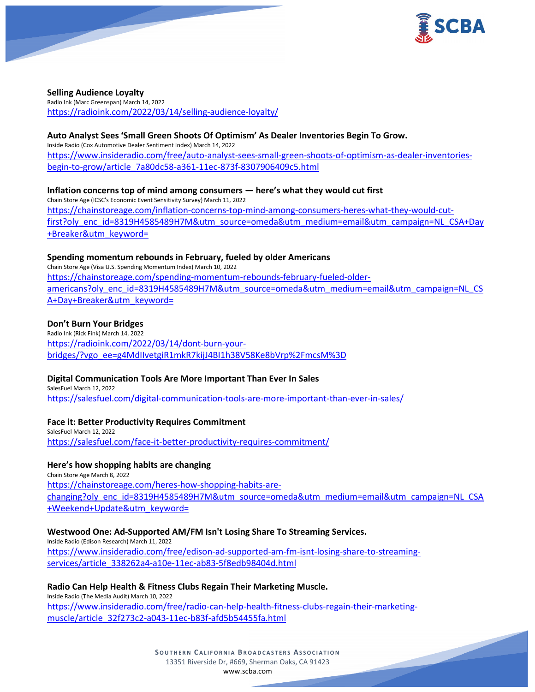

#### **Selling Audience Loyalty**

Radio Ink (Marc Greenspan) March 14, 2022 <https://radioink.com/2022/03/14/selling-audience-loyalty/>

#### **Auto Analyst Sees 'Small Green Shoots Of Optimism' As Dealer Inventories Begin To Grow.**

Inside Radio (Cox Automotive Dealer Sentiment Index) March 14, 2022 [https://www.insideradio.com/free/auto-analyst-sees-small-green-shoots-of-optimism-as-dealer-inventories](https://www.insideradio.com/free/auto-analyst-sees-small-green-shoots-of-optimism-as-dealer-inventories-begin-to-grow/article_7a80dc58-a361-11ec-873f-8307906409c5.html)[begin-to-grow/article\\_7a80dc58-a361-11ec-873f-8307906409c5.html](https://www.insideradio.com/free/auto-analyst-sees-small-green-shoots-of-optimism-as-dealer-inventories-begin-to-grow/article_7a80dc58-a361-11ec-873f-8307906409c5.html)

**Inflation concerns top of mind among consumers — here's what they would cut first** Chain Store Age (ICSC's Economic Event Sensitivity Survey) March 11, 2022 [https://chainstoreage.com/inflation-concerns-top-mind-among-consumers-heres-what-they-would-cut](https://chainstoreage.com/inflation-concerns-top-mind-among-consumers-heres-what-they-would-cut-first?oly_enc_id=8319H4585489H7M&utm_source=omeda&utm_medium=email&utm_campaign=NL_CSA+Day+Breaker&utm_keyword=)[first?oly\\_enc\\_id=8319H4585489H7M&utm\\_source=omeda&utm\\_medium=email&utm\\_campaign=NL\\_CSA+Day](https://chainstoreage.com/inflation-concerns-top-mind-among-consumers-heres-what-they-would-cut-first?oly_enc_id=8319H4585489H7M&utm_source=omeda&utm_medium=email&utm_campaign=NL_CSA+Day+Breaker&utm_keyword=) [+Breaker&utm\\_keyword=](https://chainstoreage.com/inflation-concerns-top-mind-among-consumers-heres-what-they-would-cut-first?oly_enc_id=8319H4585489H7M&utm_source=omeda&utm_medium=email&utm_campaign=NL_CSA+Day+Breaker&utm_keyword=)

#### **Spending momentum rebounds in February, fueled by older Americans**

Chain Store Age (Visa U.S. Spending Momentum Index) March 10, 2022 [https://chainstoreage.com/spending-momentum-rebounds-february-fueled-older](https://chainstoreage.com/spending-momentum-rebounds-february-fueled-older-americans?oly_enc_id=8319H4585489H7M&utm_source=omeda&utm_medium=email&utm_campaign=NL_CSA+Day+Breaker&utm_keyword=)[americans?oly\\_enc\\_id=8319H4585489H7M&utm\\_source=omeda&utm\\_medium=email&utm\\_campaign=NL\\_CS](https://chainstoreage.com/spending-momentum-rebounds-february-fueled-older-americans?oly_enc_id=8319H4585489H7M&utm_source=omeda&utm_medium=email&utm_campaign=NL_CSA+Day+Breaker&utm_keyword=) [A+Day+Breaker&utm\\_keyword=](https://chainstoreage.com/spending-momentum-rebounds-february-fueled-older-americans?oly_enc_id=8319H4585489H7M&utm_source=omeda&utm_medium=email&utm_campaign=NL_CSA+Day+Breaker&utm_keyword=)

#### **Don't Burn Your Bridges**

Radio Ink (Rick Fink) March 14, 2022 [https://radioink.com/2022/03/14/dont-burn-your](https://radioink.com/2022/03/14/dont-burn-your-bridges/?vgo_ee=g4MdIIvetgiR1mkR7kijJ4BI1h38V58Ke8bVrp%2FmcsM%3D)bridges/?vgo\_e[e=g4MdIIvetgiR1mkR7kijJ4BI1h38V58Ke8bVrp%2FmcsM%3D](https://radioink.com/2022/03/14/dont-burn-your-bridges/?vgo_ee=g4MdIIvetgiR1mkR7kijJ4BI1h38V58Ke8bVrp%2FmcsM%3D)

#### **Digital Communication Tools Are More Important Than Ever In Sales**

SalesFuel March 12, 2022 <https://salesfuel.com/digital-communication-tools-are-more-important-than-ever-in-sales/>

#### **Face it: Better Productivity Requires Commitment**

SalesFuel March 12, 2022 [https://salesfuel.com/face-it-better-productivity-](https://salesfuel.com/face-it-better-productivity-requires-commitment/)requires-commitment/

## **Here's how shopping habits are changing**

Chain Store Age March 8, 2022 [https://chainstoreage.com/heres-how-shopping-habits-are](https://chainstoreage.com/heres-how-shopping-habits-are-changing?oly_enc_id=8319H4585489H7M&utm_source=omeda&utm_medium=email&utm_campaign=NL_CSA+Weekend+Update&utm_keyword=)[changing?oly\\_enc\\_id=8319H4585489H7M&utm\\_source=omeda&utm\\_medium=email&utm\\_campaign=NL\\_CSA](https://chainstoreage.com/heres-how-shopping-habits-are-changing?oly_enc_id=8319H4585489H7M&utm_source=omeda&utm_medium=email&utm_campaign=NL_CSA+Weekend+Update&utm_keyword=) [+Weekend+Update&utm\\_keyword=](https://chainstoreage.com/heres-how-shopping-habits-are-changing?oly_enc_id=8319H4585489H7M&utm_source=omeda&utm_medium=email&utm_campaign=NL_CSA+Weekend+Update&utm_keyword=)

#### **Westwood One: Ad-Supported AM/FM Isn't Losing Share To Streaming Services.**

Inside Radio (Edison Research) March 11, 2022 [https://www.insideradio.com/free/edison-ad-supported-am-fm-isnt-losing-share-to-streaming](https://www.insideradio.com/free/edison-ad-supported-am-fm-isnt-losing-share-to-streaming-services/article_338262a4-a10e-11ec-ab83-5f8edb98404d.html)[services/article\\_338262a4-a10e-11ec-ab83-5f8edb98404d.html](https://www.insideradio.com/free/edison-ad-supported-am-fm-isnt-losing-share-to-streaming-services/article_338262a4-a10e-11ec-ab83-5f8edb98404d.html)

#### **Radio Can Help Health & Fitness Clubs Regain Their Marketing Muscle.**

Inside Radio (The Media Audit) March 10, 2022 [https://www.insideradio.com/free/radio-can-help-health-fitness-clubs-regain-their-marketing](https://www.insideradio.com/free/radio-can-help-health-fitness-clubs-regain-their-marketing-muscle/article_32f273c2-a043-11ec-b83f-afd5b54455fa.html)[muscle/article\\_32f273c2-a043-11ec-b83f-afd5b54455fa.html](https://www.insideradio.com/free/radio-can-help-health-fitness-clubs-regain-their-marketing-muscle/article_32f273c2-a043-11ec-b83f-afd5b54455fa.html)

> **SOUTHERN C ALIFORNIA B ROADCASTERS ASSOCIATION** 13351 Riverside Dr, #669, Sherman Oaks, CA 91423 [www.scba.com](http://www.scba.com/)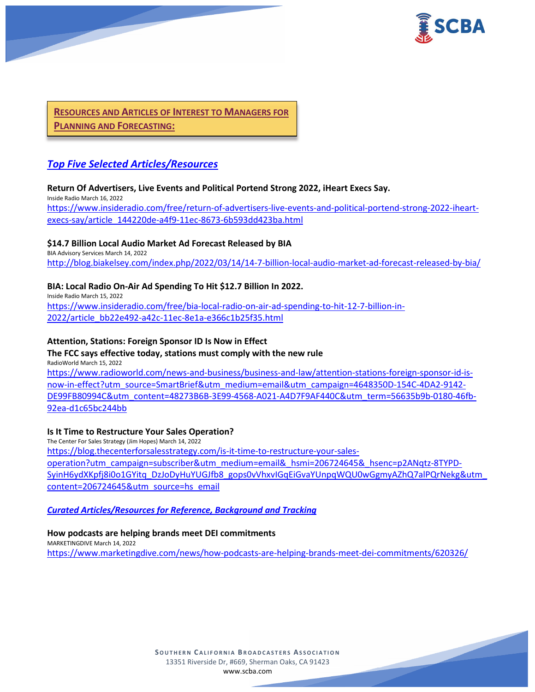

**RESOURCES AND ARTICLES OF INTEREST TO MANAGERS FOR PLANNING AND FORECASTING:**

# *Top Five Selected Articles/Resources*

## **Return Of Advertisers, Live Events and Political Portend Strong 2022, iHeart Execs Say.**

Inside Radio March 16, 2022 [https://www.insideradio.com/free/return-of-advertisers-live-events-and-political-portend-strong-2022-iheart](https://www.insideradio.com/free/return-of-advertisers-live-events-and-political-portend-strong-2022-iheart-execs-say/article_144220de-a4f9-11ec-8673-6b593dd423ba.html)execs[-say/article\\_144220de-a4f9-11ec-8673-6b593dd423ba.html](https://www.insideradio.com/free/return-of-advertisers-live-events-and-political-portend-strong-2022-iheart-execs-say/article_144220de-a4f9-11ec-8673-6b593dd423ba.html)

## **\$14.7 Billion Local Audio Market Ad Forecast Released by BIA**

BIA Advisory Services March 14, 2022 http://blog.biakelsey.com/index.php/2022/03/14/14[-7-billion-local-audio-market-ad-forecast-released-by-bia/](http://blog.biakelsey.com/index.php/2022/03/14/14-7-billion-local-audio-market-ad-forecast-released-by-bia/)

## **BIA: Local Radio On-Air Ad Spending To Hit \$12.7 Billion In 2022.**

Inside Radio March 15, 2022 [https://www.insideradio.com/free/bia-local-radio-on-air-ad-spending-to-hit-12-7-billion-in-](https://www.insideradio.com/free/bia-local-radio-on-air-ad-spending-to-hit-12-7-billion-in-2022/article_bb22e492-a42c-11ec-8e1a-e366c1b25f35.html)[2022/article\\_bb22e492-a42c-11ec-8e1a-e366c1b25f35.html](https://www.insideradio.com/free/bia-local-radio-on-air-ad-spending-to-hit-12-7-billion-in-2022/article_bb22e492-a42c-11ec-8e1a-e366c1b25f35.html)

#### **Attention, Stations: Foreign Sponsor ID Is Now in Effect**

**The FCC says effective today, stations must comply with the new rule** RadioWorld March 15, 2022

[https://www.radioworld.com/news-and-business/business-and-law/attention-stations-foreign-sponsor-id-is](https://www.radioworld.com/news-and-business/business-and-law/attention-stations-foreign-sponsor-id-is-now-in-effect?utm_source=SmartBrief&utm_medium=email&utm_campaign=4648350D-154C-4DA2-9142-DE99FB80994C&utm_content=48273B6B-3E99-4568-A021-A4D7F9AF440C&utm_term=56635b9b-0180-46fb-92ea-d1c65bc244bb)[now-in-effect?utm\\_source=SmartBrief&utm\\_medium=email&utm\\_campaign=4648350D-154C-4DA2-9142-](https://www.radioworld.com/news-and-business/business-and-law/attention-stations-foreign-sponsor-id-is-now-in-effect?utm_source=SmartBrief&utm_medium=email&utm_campaign=4648350D-154C-4DA2-9142-DE99FB80994C&utm_content=48273B6B-3E99-4568-A021-A4D7F9AF440C&utm_term=56635b9b-0180-46fb-92ea-d1c65bc244bb) [DE99FB80994C&utm\\_content=48273B6B-3E99-4568-A021-A4D7F9AF440C&utm\\_term=56635b9b-0180-46fb-](https://www.radioworld.com/news-and-business/business-and-law/attention-stations-foreign-sponsor-id-is-now-in-effect?utm_source=SmartBrief&utm_medium=email&utm_campaign=4648350D-154C-4DA2-9142-DE99FB80994C&utm_content=48273B6B-3E99-4568-A021-A4D7F9AF440C&utm_term=56635b9b-0180-46fb-92ea-d1c65bc244bb)[92ea-d1c65bc244bb](https://www.radioworld.com/news-and-business/business-and-law/attention-stations-foreign-sponsor-id-is-now-in-effect?utm_source=SmartBrief&utm_medium=email&utm_campaign=4648350D-154C-4DA2-9142-DE99FB80994C&utm_content=48273B6B-3E99-4568-A021-A4D7F9AF440C&utm_term=56635b9b-0180-46fb-92ea-d1c65bc244bb)

#### **Is It Time to Restructure Your Sales Operation?**

The Center For Sales Strategy (Jim Hopes) March 14, 2022 [https://blog.thecenterforsalesstrategy.com/is-it-time-to-restructure-your-sales](https://blog.thecenterforsalesstrategy.com/is-it-time-to-restructure-your-sales-operation?utm_campaign=subscriber&utm_medium=email&_hsmi=206724645&_hsenc=p2ANqtz-8TYPD-SyinH6ydXKpfj8i0o1GYitq_DzJoDyHuYUGJfb8_gops0vVhxvIGqEiGvaYUnpqWQU0wGgmyAZhQ7alPQrNekg&utm_content=206724645&utm_source=hs_email)[operation?utm\\_campaign=subscriber&utm\\_medium=email&\\_hsmi=206724645&\\_hsenc=p2ANqtz](https://blog.thecenterforsalesstrategy.com/is-it-time-to-restructure-your-sales-operation?utm_campaign=subscriber&utm_medium=email&_hsmi=206724645&_hsenc=p2ANqtz-8TYPD-SyinH6ydXKpfj8i0o1GYitq_DzJoDyHuYUGJfb8_gops0vVhxvIGqEiGvaYUnpqWQU0wGgmyAZhQ7alPQrNekg&utm_content=206724645&utm_source=hs_email)-8TYPD-[SyinH6ydXKpfj8i0o1GYitq\\_DzJoDyHuYUGJfb8\\_gops0vVhxvIGqEiGvaYUnpqWQU0wGgmyAZhQ7alPQrNekg&utm\\_](https://blog.thecenterforsalesstrategy.com/is-it-time-to-restructure-your-sales-operation?utm_campaign=subscriber&utm_medium=email&_hsmi=206724645&_hsenc=p2ANqtz-8TYPD-SyinH6ydXKpfj8i0o1GYitq_DzJoDyHuYUGJfb8_gops0vVhxvIGqEiGvaYUnpqWQU0wGgmyAZhQ7alPQrNekg&utm_content=206724645&utm_source=hs_email) [content=206724645&utm\\_source=hs\\_email](https://blog.thecenterforsalesstrategy.com/is-it-time-to-restructure-your-sales-operation?utm_campaign=subscriber&utm_medium=email&_hsmi=206724645&_hsenc=p2ANqtz-8TYPD-SyinH6ydXKpfj8i0o1GYitq_DzJoDyHuYUGJfb8_gops0vVhxvIGqEiGvaYUnpqWQU0wGgmyAZhQ7alPQrNekg&utm_content=206724645&utm_source=hs_email)

## *Curated Articles/Resources for Reference, Background and Tracking*

#### **How podcasts are helping brands meet DEI commitments**

MARKETINGDIVE March 14, 2022 <https://www.marketingdive.com/news/how-podcasts-are-helping-brands-meet-dei-commitments/620326/>

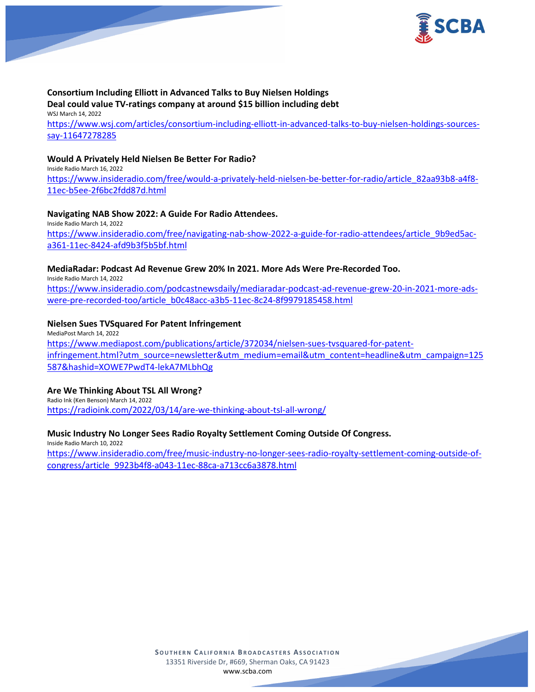

## **Consortium Including Elliott in Advanced Talks to Buy Nielsen Holdings Deal could value TV-ratings company at around \$15 billion including debt**

WSJ March 14, 2022 [https://www.wsj.com/articles/consortium-including-elliott-in-advanced-talks-to-buy-nielsen-holdings-sources](https://www.wsj.com/articles/consortium-including-elliott-in-advanced-talks-to-buy-nielsen-holdings-sources-say-11647278285)[say-11647278285](https://www.wsj.com/articles/consortium-including-elliott-in-advanced-talks-to-buy-nielsen-holdings-sources-say-11647278285)

#### **Would A Privately Held Nielsen Be Better For Radio?**

Inside Radio March 16, 2022 [https://www.insideradio.com/free/would-a-privately-held-nielsen-be-better-for-radio/article\\_82aa93b8-a4f8-](https://www.insideradio.com/free/would-a-privately-held-nielsen-be-better-for-radio/article_82aa93b8-a4f8-11ec-b5ee-2f6bc2fdd87d.html) [11ec-b5ee-2f6bc2fdd87d.html](https://www.insideradio.com/free/would-a-privately-held-nielsen-be-better-for-radio/article_82aa93b8-a4f8-11ec-b5ee-2f6bc2fdd87d.html)

## **Navigating NAB Show 2022: A Guide For Radio Attendees.**

Inside Radio March 14, 2022 [https://www.insideradio.com/free/navigating-nab-show-2022-a-guide-for-radio-attendees/article\\_9b9ed5ac](https://www.insideradio.com/free/navigating-nab-show-2022-a-guide-for-radio-attendees/article_9b9ed5ac-a361-11ec-8424-afd9b3f5b5bf.html)[a361-11ec-8424-afd9b3f5b5bf.html](https://www.insideradio.com/free/navigating-nab-show-2022-a-guide-for-radio-attendees/article_9b9ed5ac-a361-11ec-8424-afd9b3f5b5bf.html)

# **MediaRadar: Podcast Ad Revenue Grew 20% In 2021. More Ads Were Pre-Recorded Too.**

Inside Radio March 14, 2022 [https://www.insideradio.com/podcastnewsdaily/mediaradar-podcast-ad-revenue-grew-20-in-2021-more-ads](https://www.insideradio.com/podcastnewsdaily/mediaradar-podcast-ad-revenue-grew-20-in-2021-more-ads-were-pre-recorded-too/article_b0c48acc-a3b5-11ec-8c24-8f9979185458.html)[were-pre-recorded-too/article\\_b0c48acc-a3b5-11ec-8c24-8f9979185458.html](https://www.insideradio.com/podcastnewsdaily/mediaradar-podcast-ad-revenue-grew-20-in-2021-more-ads-were-pre-recorded-too/article_b0c48acc-a3b5-11ec-8c24-8f9979185458.html)

## **Nielsen Sues TVSquared For Patent Infringement**

MediaPost March 14, 2022 [https://www.mediapost.com/publications/article/372034/nielsen-sues-](https://www.mediapost.com/publications/article/372034/nielsen-sues-tvsquared-for-patent-infringement.html?utm_source=newsletter&utm_medium=email&utm_content=headline&utm_campaign=125587&hashid=XOWE7PwdT4-lekA7MLbhQg)tvsquared-for-patent[infringement.html?utm\\_source=newsletter&utm\\_medium=email&utm\\_content=headline&utm\\_campaign=125](https://www.mediapost.com/publications/article/372034/nielsen-sues-tvsquared-for-patent-infringement.html?utm_source=newsletter&utm_medium=email&utm_content=headline&utm_campaign=125587&hashid=XOWE7PwdT4-lekA7MLbhQg) [587&hashid=XOWE7PwdT4](https://www.mediapost.com/publications/article/372034/nielsen-sues-tvsquared-for-patent-infringement.html?utm_source=newsletter&utm_medium=email&utm_content=headline&utm_campaign=125587&hashid=XOWE7PwdT4-lekA7MLbhQg)-lekA7MLbhQg

## **Are We Thinking About TSL All Wrong?**

Radio Ink (Ken Benson) March 14, 2022 <https://radioink.com/2022/03/14/are-we-thinking-about-tsl-all-wrong/>

## **Music Industry No Longer Sees Radio Royalty Settlement Coming Outside Of Congress.**

Inside Radio March 10, 2022 [https://www.insideradio.com/free/music-industry-no-longer-sees-radio-royalty-settlement-coming-outside-of](https://www.insideradio.com/free/music-industry-no-longer-sees-radio-royalty-settlement-coming-outside-of-congress/article_9923b4f8-a043-11ec-88ca-a713cc6a3878.html)[congress/article\\_9923b4f8-a043-11ec-88ca-a713cc6a3878.html](https://www.insideradio.com/free/music-industry-no-longer-sees-radio-royalty-settlement-coming-outside-of-congress/article_9923b4f8-a043-11ec-88ca-a713cc6a3878.html)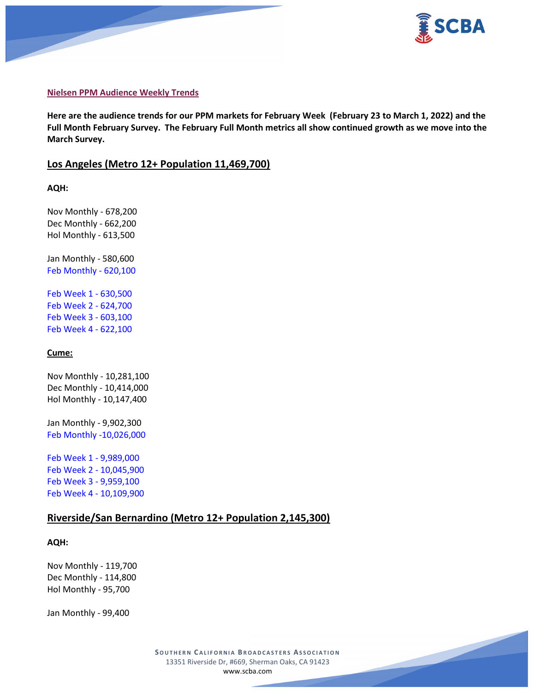



#### **Nielsen PPM Audience Weekly Trends**

**Here are the audience trends for our PPM markets for February Week (February 23 to March 1, 2022) and the Full Month February Survey. The February Full Month metrics all show continued growth as we move into the March Survey.**

#### **Los Angeles (Metro 12+ Population 11,469,700)**

**AQH:**

Nov Monthly - 678,200 Dec Monthly - 662,200 Hol Monthly - 613,500

Jan Monthly - 580,600 Feb Monthly - 620,100

Feb Week 1 - 630,500 Feb Week 2 - 624,700 Feb Week 3 - 603,100 Feb Week 4 - 622,100

#### **Cume:**

Nov Monthly - 10,281,100 Dec Monthly - 10,414,000 Hol Monthly - 10,147,400

Jan Monthly - 9,902,300 Feb Monthly -10,026,000

Feb Week 1 - 9,989,000 Feb Week 2 - 10,045,900 Feb Week 3 - 9,959,100 Feb Week 4 - 10,109,900

# **Riverside/San Bernardino (Metro 12+ Population 2,145,300)**

#### **AQH:**

Nov Monthly - 119,700 Dec Monthly - 114,800 Hol Monthly - 95,700

Jan Monthly - 99,400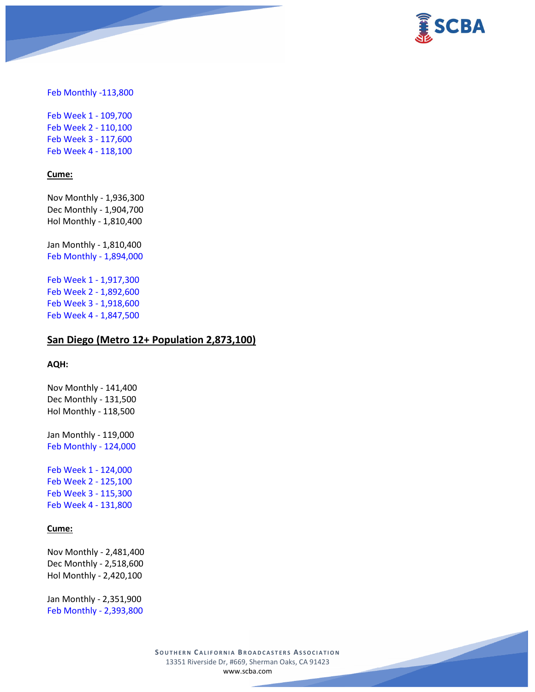

Feb Monthly -113,800

Feb Week 1 - 109,700 Feb Week 2 - 110,100 Feb Week 3 - 117,600 Feb Week 4 - 118,100

#### **Cume:**

Nov Monthly - 1,936,300 Dec Monthly - 1,904,700 Hol Monthly - 1,810,400

Jan Monthly - 1,810,400 Feb Monthly - 1,894,000

Feb Week 1 - 1,917,300 Feb Week 2 - 1,892,600 Feb Week 3 - 1,918,600 Feb Week 4 - 1,847,500

# **San Diego (Metro 12+ Population 2,873,100)**

#### **AQH:**

Nov Monthly - 141,400 Dec Monthly - 131,500 Hol Monthly - 118,500

Jan Monthly - 119,000 Feb Monthly - 124,000

Feb Week 1 - 124,000 Feb Week 2 - 125,100 Feb Week 3 - 115,300 Feb Week 4 - 131,800

#### **Cume:**

Nov Monthly - 2,481,400 Dec Monthly - 2,518,600 Hol Monthly - 2,420,100

Jan Monthly - 2,351,900 Feb Monthly - 2,393,800